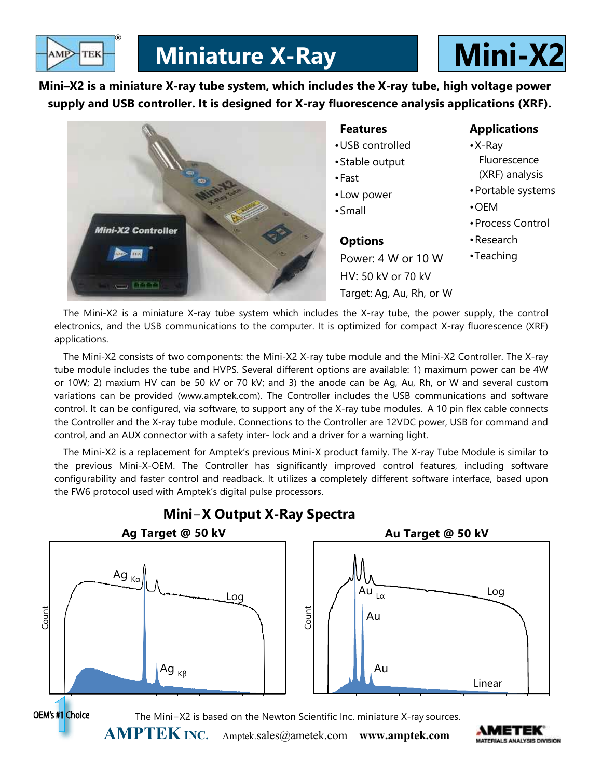

Mini–X2 is a miniature X-ray tube system, which includes the X-ray tube, high voltage power supply and USB controller. It is designed for X-ray fluorescence analysis applications (XRF).



The Mini-X2 is a miniature X-ray tube system which includes the X-ray tube, the power supply, the control electronics, and the USB communications to the computer. It is optimized for compact X-ray fluorescence (XRF) applications.

The Mini-X2 consists of two components: the Mini-X2 X-ray tube module and the Mini-X2 Controller. The X-ray tube module includes the tube and HVPS. Several different options are available: 1) maximum power can be 4W or 10W; 2) maxium HV can be 50 kV or 70 kV; and 3) the anode can be Ag, Au, Rh, or W and several custom variations can be provided (www.amptek.com). The Controller includes the USB communications and software control. It can be configured, via software, to support any of the X-ray tube modules. A 10 pin flex cable connects the Controller and the X-ray tube module. Connections to the Controller are 12VDC power, USB for command and control, and an AUX connector with a safety inter- lock and a driver for a warning light.

The Mini-X2 is a replacement for Amptek's previous Mini-X product family. The X-ray Tube Module is similar to the previous Mini-X-OEM. The Controller has significantly improved control features, including software configurability and faster control and readback. It utilizes a completely different software interface, based upon the FW6 protocol used with Amptek's digital pulse processors.



# Mini−X Output X-Ray Spectra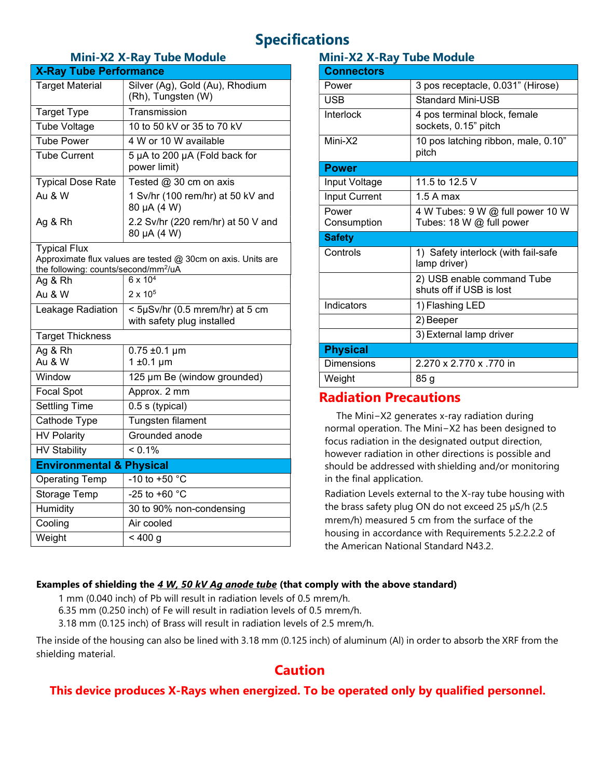# Specifications

#### Mini-X2 X-Ray Tube Module

| <b>X-Ray Tube Performance</b>                                                                                                           |                                                               |
|-----------------------------------------------------------------------------------------------------------------------------------------|---------------------------------------------------------------|
| <b>Target Material</b>                                                                                                                  | Silver (Ag), Gold (Au), Rhodium<br>(Rh), Tungsten (W)         |
| <b>Target Type</b>                                                                                                                      | Transmission                                                  |
| <b>Tube Voltage</b>                                                                                                                     | 10 to 50 kV or 35 to 70 kV                                    |
| <b>Tube Power</b>                                                                                                                       | 4 W or 10 W available                                         |
| <b>Tube Current</b>                                                                                                                     | 5 µA to 200 µA (Fold back for<br>power limit)                 |
| <b>Typical Dose Rate</b>                                                                                                                | Tested @ 30 cm on axis                                        |
| Au & W                                                                                                                                  | 1 Sv/hr (100 rem/hr) at 50 kV and<br>80 µA (4 W)              |
| Ag & Rh                                                                                                                                 | 2.2 Sv/hr (220 rem/hr) at 50 V and<br>80 µA (4 W)             |
| <b>Typical Flux</b><br>Approximate flux values are tested @ 30cm on axis. Units are<br>the following: counts/second/mm <sup>2</sup> /uA |                                                               |
| Ag & Rh                                                                                                                                 | $6 \times 10^{4}$                                             |
| Au & W                                                                                                                                  | $2 \times 10^5$                                               |
| Leakage Radiation                                                                                                                       | < 5µSv/hr (0.5 mrem/hr) at 5 cm<br>with safety plug installed |
| <b>Target Thickness</b>                                                                                                                 |                                                               |
| Ag & Rh<br>Au & W                                                                                                                       | $0.75 \pm 0.1 \,\mu m$<br>$1 \pm 0.1 \mu m$                   |
| Window                                                                                                                                  | 125 µm Be (window grounded)                                   |
| <b>Focal Spot</b>                                                                                                                       | Approx. 2 mm                                                  |
| <b>Settling Time</b>                                                                                                                    | 0.5 s (typical)                                               |
| Cathode Type                                                                                                                            | Tungsten filament                                             |
| <b>HV Polarity</b>                                                                                                                      | Grounded anode                                                |
| <b>HV Stability</b>                                                                                                                     | $< 0.1\%$                                                     |
| <b>Environmental &amp; Physical</b>                                                                                                     |                                                               |
| <b>Operating Temp</b>                                                                                                                   | -10 to +50 °C                                                 |
| Storage Temp                                                                                                                            | $-25$ to $+60$ °C                                             |
| Humidity                                                                                                                                | 30 to 90% non-condensing                                      |
| Cooling                                                                                                                                 | Air cooled                                                    |
| Weight                                                                                                                                  | < 400 g                                                       |

# Mini-X2 X-Ray Tube Module

| <b>Connectors</b>    |                                                        |
|----------------------|--------------------------------------------------------|
| Power                | 3 pos receptacle, 0.031" (Hirose)                      |
| USB                  | <b>Standard Mini-USB</b>                               |
| Interlock            | 4 pos terminal block, female<br>sockets, 0.15" pitch   |
| Mini-X2              | 10 pos latching ribbon, male, 0.10"<br>pitch           |
| <b>Power</b>         |                                                        |
| Input Voltage        | 11.5 to 12.5 V                                         |
| <b>Input Current</b> | $1.5A$ max                                             |
| Power                | 4 W Tubes: 9 W @ full power 10 W                       |
| Consumption          | Tubes: 18 W @ full power                               |
| <b>Safety</b>        |                                                        |
| Controls             | 1) Safety interlock (with fail-safe<br>lamp driver)    |
|                      | 2) USB enable command Tube<br>shuts off if USB is lost |
| Indicators           | 1) Flashing LED                                        |
|                      | 2) Beeper                                              |
|                      | 3) External lamp driver                                |
| <b>Physical</b>      |                                                        |
| <b>Dimensions</b>    | 2.270 x 2.770 x .770 in                                |
| Weight               | 85 g                                                   |

# Radiation Precautions

The Mini−X2 generates x-ray radiation during normal operation. The Mini−X2 has been designed to focus radiation in the designated output direction, however radiation in other directions is possible and should be addressed with shielding and/or monitoring in the final application.

Radiation Levels external to the X-ray tube housing with the brass safety plug ON do not exceed 25 µS/h (2.5 mrem/h) measured 5 cm from the surface of the housing in accordance with Requirements 5.2.2.2.2 of the American National Standard N43.2.

#### Examples of shielding the  $4 W$ , 50 kV Ag anode tube (that comply with the above standard)

1 mm (0.040 inch) of Pb will result in radiation levels of 0.5 mrem/h.

6.35 mm (0.250 inch) of Fe will result in radiation levels of 0.5 mrem/h.

3.18 mm (0.125 inch) of Brass will result in radiation levels of 2.5 mrem/h.

The inside of the housing can also be lined with 3.18 mm (0.125 inch) of aluminum (Al) in order to absorb the XRF from the shielding material.

# Caution

# This device produces X-Rays when energized. To be operated only by qualified personnel.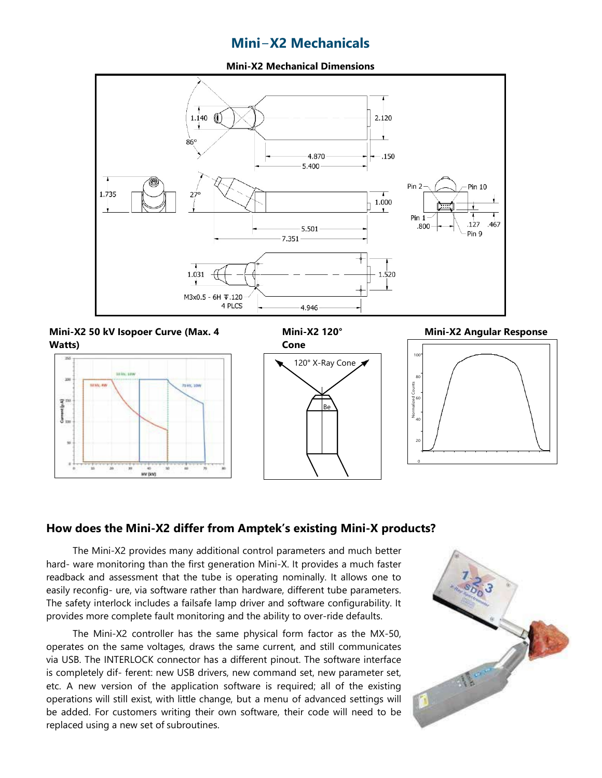# Mini−X2 Mechanicals

Mini-X2 Mechanical Dimensions



Mini-X2 50 kV Isopoer Curve (Max. 4 Watts)







40

20

 $\overline{0}$ 

#### How does the Mini-X2 differ from Amptek's existing Mini-X products?

The Mini-X2 provides many additional control parameters and much better hard- ware monitoring than the first generation Mini-X. It provides a much faster readback and assessment that the tube is operating nominally. It allows one to easily reconfig- ure, via software rather than hardware, different tube parameters. The safety interlock includes a failsafe lamp driver and software configurability. It provides more complete fault monitoring and the ability to over-ride defaults.

The Mini-X2 controller has the same physical form factor as the MX-50, operates on the same voltages, draws the same current, and still communicates via USB. The INTERLOCK connector has a different pinout. The software interface is completely dif- ferent: new USB drivers, new command set, new parameter set, etc. A new version of the application software is required; all of the existing operations will still exist, with little change, but a menu of advanced settings will be added. For customers writing their own software, their code will need to be replaced using a new set of subroutines.